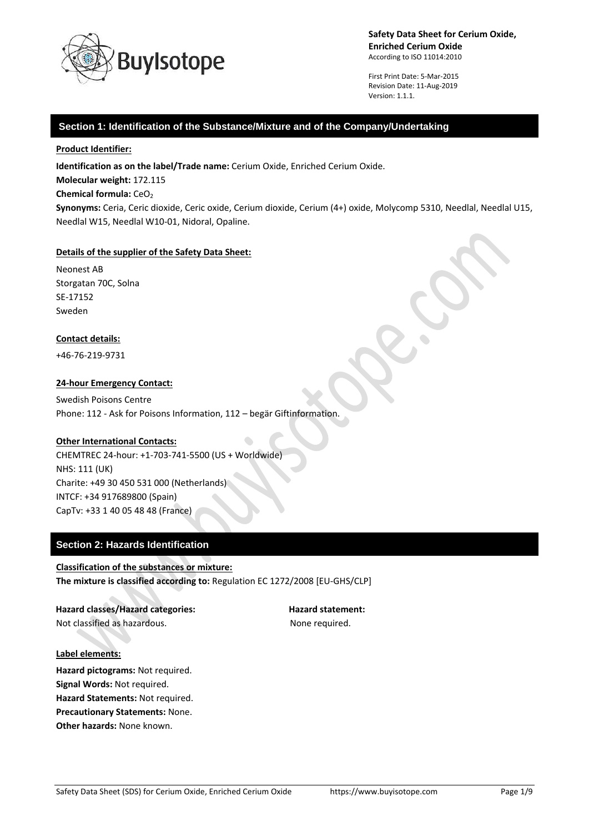

First Print Date: 5-Mar-2015 Revision Date: 11-Aug-2019 Version: 1.1.1.

## **Section 1: Identification of the Substance/Mixture and of the Company/Undertaking**

#### **Product Identifier:**

**Identification as on the label/Trade name:** Cerium Oxide, Enriched Cerium Oxide.

**Molecular weight:** 172.115

#### **Chemical formula: CeO<sub>2</sub>**

**Synonyms:** Ceria, Ceric dioxide, Ceric oxide, Cerium dioxide, Cerium (4+) oxide, Molycomp 5310, Needlal, Needlal U15, Needlal W15, Needlal W10-01, Nidoral, Opaline.

#### **Details of the supplier of the Safety Data Sheet:**

Neonest AB Storgatan 70C, Solna SE-17152 Sweden

#### **Contact details:**

+46-76-219-9731

#### **24-hour Emergency Contact:**

Swedish Poisons Centre Phone: 112 - Ask for Poisons Information, 112 – begär Giftinformation.

#### **Other International Contacts:**

CHEMTREC 24-hour: +1-703-741-5500 (US + Worldwide) NHS: 111 (UK) Charite: +49 30 450 531 000 (Netherlands) INTCF: +34 917689800 (Spain) CapTv: +33 1 40 05 48 48 (France)

## **Section 2: Hazards Identification**

## **Classification of the substances or mixture: The mixture is classified according to:** Regulation EC 1272/2008 [EU-GHS/CLP]

Hazard classes/Hazard categories: **Hazard statement:** Not classified as hazardous. The matrix of the None required.

**Label elements:**

**Hazard pictograms:** Not required. **Signal Words:** Not required. **Hazard Statements:** Not required. **Precautionary Statements:** None. **Other hazards:** None known.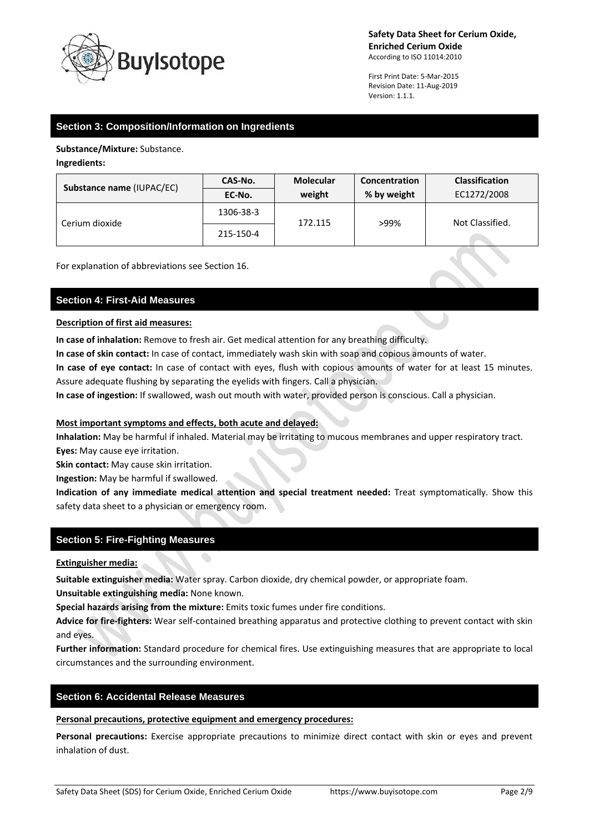

First Print Date: 5-Mar-2015 Revision Date: 11-Aug-2019 Version: 1.1.1.

# **Section 3: Composition/Information on Ingredients**

**Substance/Mixture:** Substance.

**Ingredients:**

| <b>Substance name (IUPAC/EC)</b> | CAS-No.   | <b>Molecular</b> | Concentration | <b>Classification</b> |
|----------------------------------|-----------|------------------|---------------|-----------------------|
|                                  | EC-No.    | weight           | % by weight   | EC1272/2008           |
| Cerium dioxide                   | 1306-38-3 | 172.115          | >99%          | Not Classified.       |
|                                  | 215-150-4 |                  |               |                       |

For explanation of abbreviations see Section 16.

## **Section 4: First-Aid Measures**

## **Description of first aid measures:**

**In case of inhalation:** Remove to fresh air. Get medical attention for any breathing difficulty.

**In case of skin contact:** In case of contact, immediately wash skin with soap and copious amounts of water.

**In case of eye contact:** In case of contact with eyes, flush with copious amounts of water for at least 15 minutes. Assure adequate flushing by separating the eyelids with fingers. Call a physician.

**In case of ingestion:** If swallowed, wash out mouth with water, provided person is conscious. Call a physician.

## **Most important symptoms and effects, both acute and delayed:**

**Inhalation:** May be harmful if inhaled. Material may be irritating to mucous membranes and upper respiratory tract. **Eyes:** May cause eye irritation.

**Skin contact:** May cause skin irritation.

**Ingestion:** May be harmful if swallowed.

**Indication of any immediate medical attention and special treatment needed:** Treat symptomatically. Show this safety data sheet to a physician or emergency room.

## **Section 5: Fire-Fighting Measures**

**Extinguisher media:**

**Suitable extinguisher media:** Water spray. Carbon dioxide, dry chemical powder, or appropriate foam.

**Unsuitable extinguishing media:** None known.

**Special hazards arising from the mixture:** Emits toxic fumes under fire conditions.

**Advice for fire-fighters:** Wear self-contained breathing apparatus and protective clothing to prevent contact with skin and eyes.

**Further information:** Standard procedure for chemical fires. Use extinguishing measures that are appropriate to local circumstances and the surrounding environment.

## **Section 6: Accidental Release Measures**

**Personal precautions, protective equipment and emergency procedures:**

**Personal precautions:** Exercise appropriate precautions to minimize direct contact with skin or eyes and prevent inhalation of dust.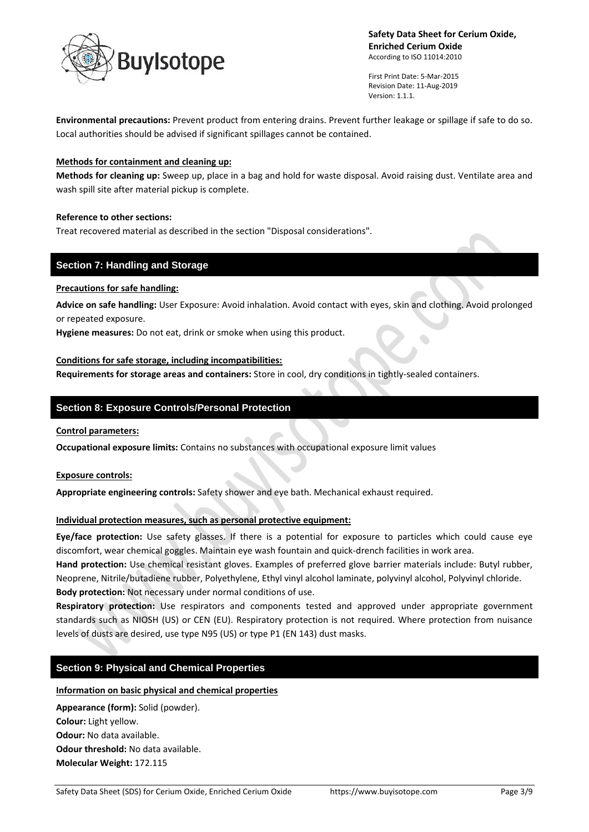

First Print Date: 5-Mar-2015 Revision Date: 11-Aug-2019 Version: 1.1.1.

 $\bullet$ 

**Environmental precautions:** Prevent product from entering drains. Prevent further leakage or spillage if safe to do so. Local authorities should be advised if significant spillages cannot be contained.

## **Methods for containment and cleaning up:**

**Methods for cleaning up:** Sweep up, place in a bag and hold for waste disposal. Avoid raising dust. Ventilate area and wash spill site after material pickup is complete.

#### **Reference to other sections:**

Treat recovered material as described in the section "Disposal considerations".

## **Section 7: Handling and Storage**

#### **Precautions for safe handling:**

**Advice on safe handling:** User Exposure: Avoid inhalation. Avoid contact with eyes, skin and clothing. Avoid prolonged or repeated exposure.

**Hygiene measures:** Do not eat, drink or smoke when using this product.

#### **Conditions for safe storage, including incompatibilities:**

**Requirements for storage areas and containers:** Store in cool, dry conditions in tightly-sealed containers.

## **Section 8: Exposure Controls/Personal Protection**

## **Control parameters:**

**Occupational exposure limits:** Contains no substances with occupational exposure limit values

## **Exposure controls:**

**Appropriate engineering controls:** Safety shower and eye bath. Mechanical exhaust required.

## **Individual protection measures, such as personal protective equipment:**

**Eye/face protection:** Use safety glasses. If there is a potential for exposure to particles which could cause eye discomfort, wear chemical goggles. Maintain eye wash fountain and quick-drench facilities in work area.

**Hand protection:** Use chemical resistant gloves. Examples of preferred glove barrier materials include: Butyl rubber, Neoprene, Nitrile/butadiene rubber, Polyethylene, Ethyl vinyl alcohol laminate, polyvinyl alcohol, Polyvinyl chloride. **Body protection:** Not necessary under normal conditions of use.

**Respiratory protection:** Use respirators and components tested and approved under appropriate government standards such as NIOSH (US) or CEN (EU). Respiratory protection is not required. Where protection from nuisance levels of dusts are desired, use type N95 (US) or type P1 (EN 143) dust masks.

## **Section 9: Physical and Chemical Properties**

## **Information on basic physical and chemical properties**

**Appearance (form):** Solid (powder). **Colour:** Light yellow. **Odour:** No data available. **Odour threshold:** No data available. **Molecular Weight:** 172.115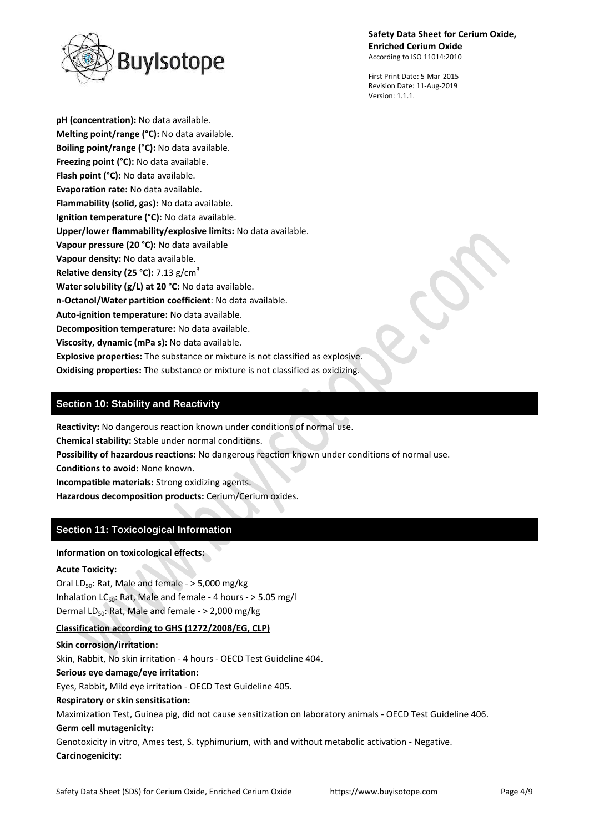## **Safety Data Sheet for Cerium Oxide, Enriched Cerium Oxide**

According to ISO 11014:2010



First Print Date: 5-Mar-2015 Revision Date: 11-Aug-2019 Version: 1.1.1.

**pH (concentration):** No data available. **Melting point/range (°C):** No data available. **Boiling point/range (°C):** No data available. **Freezing point (°C):** No data available. **Flash point (°C):** No data available. **Evaporation rate:** No data available. **Flammability (solid, gas):** No data available. **Ignition temperature (°C):** No data available. **Upper/lower flammability/explosive limits:** No data available. **Vapour pressure (20 °C):** No data available **Vapour density:** No data available. **Relative density (25 °C):** 7.13 g/cm<sup>3</sup> **Water solubility (g/L) at 20 °C:** No data available. **n-Octanol/Water partition coefficient**: No data available. **Auto-ignition temperature:** No data available. **Decomposition temperature:** No data available. **Viscosity, dynamic (mPa s):** No data available. **Explosive properties:** The substance or mixture is not classified as explosive. **Oxidising properties:** The substance or mixture is not classified as oxidizing.

# **Section 10: Stability and Reactivity**

**Reactivity:** No dangerous reaction known under conditions of normal use.

**Chemical stability:** Stable under normal conditions.

**Possibility of hazardous reactions:** No dangerous reaction known under conditions of normal use.

**Conditions to avoid:** None known.

**Incompatible materials:** Strong oxidizing agents.

**Hazardous decomposition products:** Cerium/Cerium oxides.

# **Section 11: Toxicological Information**

## **Information on toxicological effects:**

## **Acute Toxicity:**

Oral LD<sub>50</sub>: Rat, Male and female  $-$  > 5,000 mg/kg Inhalation LC<sub>50</sub>: Rat, Male and female - 4 hours -  $>$  5.05 mg/l Dermal LD<sub>50</sub>: Rat, Male and female -  $>$  2,000 mg/kg

## **Classification according to GHS (1272/2008/EG, CLP)**

**Skin corrosion/irritation:** Skin, Rabbit, No skin irritation - 4 hours - OECD Test Guideline 404. **Serious eye damage/eye irritation:** Eyes, Rabbit, Mild eye irritation - OECD Test Guideline 405. **Respiratory or skin sensitisation:** Maximization Test, Guinea pig, did not cause sensitization on laboratory animals - OECD Test Guideline 406. **Germ cell mutagenicity:** Genotoxicity in vitro, Ames test, S. typhimurium, with and without metabolic activation - Negative.

**Carcinogenicity:**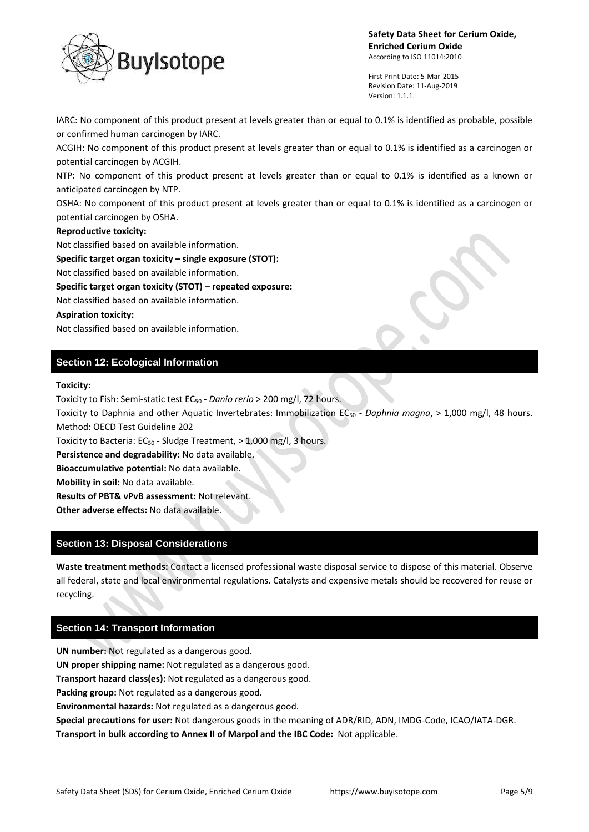

First Print Date: 5-Mar-2015 Revision Date: 11-Aug-2019 Version: 1.1.1.

IARC: No component of this product present at levels greater than or equal to 0.1% is identified as probable, possible or confirmed human carcinogen by IARC.

ACGIH: No component of this product present at levels greater than or equal to 0.1% is identified as a carcinogen or potential carcinogen by ACGIH.

NTP: No component of this product present at levels greater than or equal to 0.1% is identified as a known or anticipated carcinogen by NTP.

OSHA: No component of this product present at levels greater than or equal to 0.1% is identified as a carcinogen or potential carcinogen by OSHA.

## **Reproductive toxicity:**

Not classified based on available information.

**Specific target organ toxicity – single exposure (STOT):**

Not classified based on available information.

**Specific target organ toxicity (STOT) – repeated exposure:**

Not classified based on available information.

## **Aspiration toxicity:**

Not classified based on available information.

# **Section 12: Ecological Information**

#### **Toxicity:**

Toxicity to Fish: Semi-static test EC<sub>50</sub> - *Danio rerio* > 200 mg/l, 72 hours.

Toxicity to Daphnia and other Aquatic Invertebrates: Immobilization EC<sub>50</sub> - *Daphnia magna*, > 1,000 mg/l, 48 hours. Method: OECD Test Guideline 202

Toxicity to Bacteria:  $EC_{50}$  - Sludge Treatment, > 1,000 mg/l, 3 hours.

**Persistence and degradability:** No data available.

**Bioaccumulative potential:** No data available.

**Mobility in soil:** No data available.

**Results of PBT& vPvB assessment:** Not relevant.

**Other adverse effects:** No data available.

## **Section 13: Disposal Considerations**

**Waste treatment methods:** Contact a licensed professional waste disposal service to dispose of this material. Observe all federal, state and local environmental regulations. Catalysts and expensive metals should be recovered for reuse or recycling.

## **Section 14: Transport Information**

**UN number:** Not regulated as a dangerous good. **UN proper shipping name:** Not regulated as a dangerous good. **Transport hazard class(es):** Not regulated as a dangerous good. **Packing group:** Not regulated as a dangerous good. **Environmental hazards:** Not regulated as a dangerous good. **Special precautions for user:** Not dangerous goods in the meaning of ADR/RID, ADN, IMDG-Code, ICAO/IATA-DGR. **Transport in bulk according to Annex II of Marpol and the IBC Code:** Not applicable.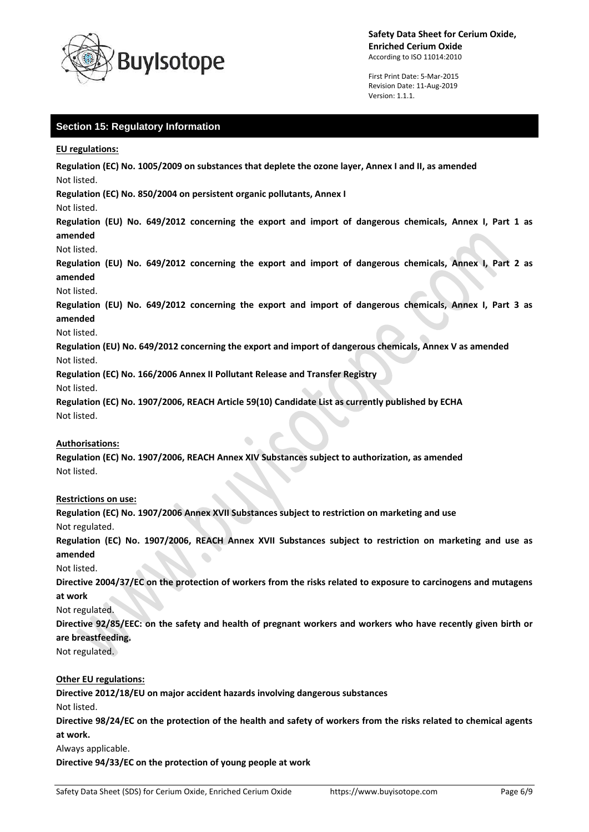

First Print Date: 5-Mar-2015 Revision Date: 11-Aug-2019 Version: 1.1.1.

# **Section 15: Regulatory Information**

**EU regulations:**

**Regulation (EC) No. 1005/2009 on substances that deplete the ozone layer, Annex I and II, as amended** Not listed.

**Regulation (EC) No. 850/2004 on persistent organic pollutants, Annex I**

Not listed.

**Regulation (EU) No. 649/2012 concerning the export and import of dangerous chemicals, Annex I, Part 1 as amended**

Not listed.

**Regulation (EU) No. 649/2012 concerning the export and import of dangerous chemicals, Annex I, Part 2 as amended**

Not listed.

**Regulation (EU) No. 649/2012 concerning the export and import of dangerous chemicals, Annex I, Part 3 as amended**

#### Not listed.

**Regulation (EU) No. 649/2012 concerning the export and import of dangerous chemicals, Annex V as amended** Not listed.

**Regulation (EC) No. 166/2006 Annex II Pollutant Release and Transfer Registry**

Not listed.

**Regulation (EC) No. 1907/2006, REACH Article 59(10) Candidate List as currently published by ECHA** Not listed.

## **Authorisations:**

**Regulation (EC) No. 1907/2006, REACH Annex XIV Substances subject to authorization, as amended** Not listed.

## **Restrictions on use:**

**Regulation (EC) No. 1907/2006 Annex XVII Substances subject to restriction on marketing and use** Not regulated.

**Regulation (EC) No. 1907/2006, REACH Annex XVII Substances subject to restriction on marketing and use as amended**

Not listed.

**Directive 2004/37/EC on the protection of workers from the risks related to exposure to carcinogens and mutagens at work**

Not regulated.

**Directive 92/85/EEC: on the safety and health of pregnant workers and workers who have recently given birth or are breastfeeding.**

Not regulated.

## **Other EU regulations:**

**Directive 2012/18/EU on major accident hazards involving dangerous substances**

Not listed.

**Directive 98/24/EC on the protection of the health and safety of workers from the risks related to chemical agents at work.**

Always applicable.

**Directive 94/33/EC on the protection of young people at work**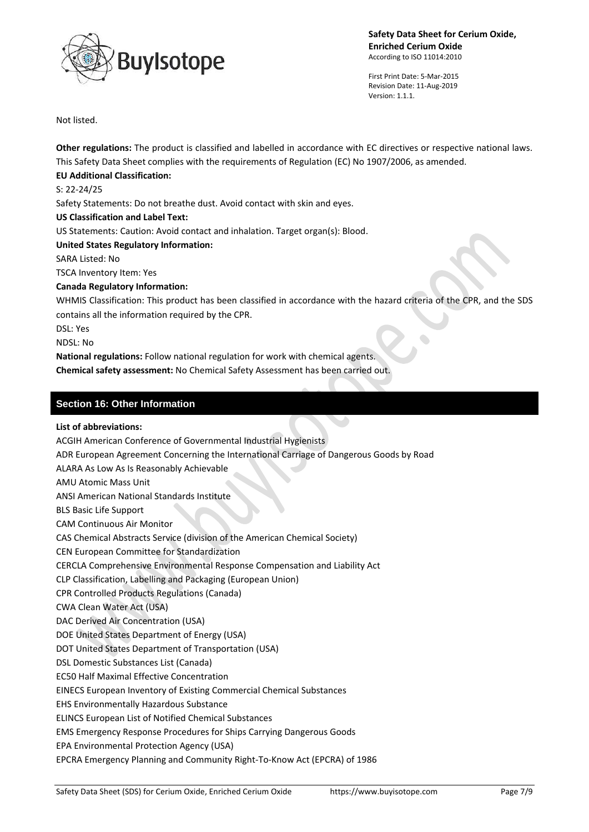

First Print Date: 5-Mar-2015 Revision Date: 11-Aug-2019 Version: 1.1.1.

Not listed.

**Other regulations:** The product is classified and labelled in accordance with EC directives or respective national laws. This Safety Data Sheet complies with the requirements of Regulation (EC) No 1907/2006, as amended.

# **EU Additional Classification:**

S: 22-24/25

Safety Statements: Do not breathe dust. Avoid contact with skin and eyes.

## **US Classification and Label Text:**

US Statements: Caution: Avoid contact and inhalation. Target organ(s): Blood.

**United States Regulatory Information:**

SARA Listed: No

TSCA Inventory Item: Yes

## **Canada Regulatory Information:**

WHMIS Classification: This product has been classified in accordance with the hazard criteria of the CPR, and the SDS contains all the information required by the CPR.

DSL: Yes

NDSL: No

**National regulations:** Follow national regulation for work with chemical agents.

**Chemical safety assessment:** No Chemical Safety Assessment has been carried out.

# **Section 16: Other Information**

## **List of abbreviations:**

ACGIH American Conference of Governmental Industrial Hygienists ADR European Agreement Concerning the International Carriage of Dangerous Goods by Road ALARA As Low As Is Reasonably Achievable AMU Atomic Mass Unit ANSI American National Standards Institute BLS Basic Life Support CAM Continuous Air Monitor CAS Chemical Abstracts Service (division of the American Chemical Society) CEN European Committee for Standardization CERCLA Comprehensive Environmental Response Compensation and Liability Act CLP Classification, Labelling and Packaging (European Union) CPR Controlled Products Regulations (Canada) CWA Clean Water Act (USA) DAC Derived Air Concentration (USA) DOE United States Department of Energy (USA) DOT United States Department of Transportation (USA) DSL Domestic Substances List (Canada) EC50 Half Maximal Effective Concentration EINECS European Inventory of Existing Commercial Chemical Substances EHS Environmentally Hazardous Substance ELINCS European List of Notified Chemical Substances EMS Emergency Response Procedures for Ships Carrying Dangerous Goods EPA Environmental Protection Agency (USA) EPCRA Emergency Planning and Community Right-To-Know Act (EPCRA) of 1986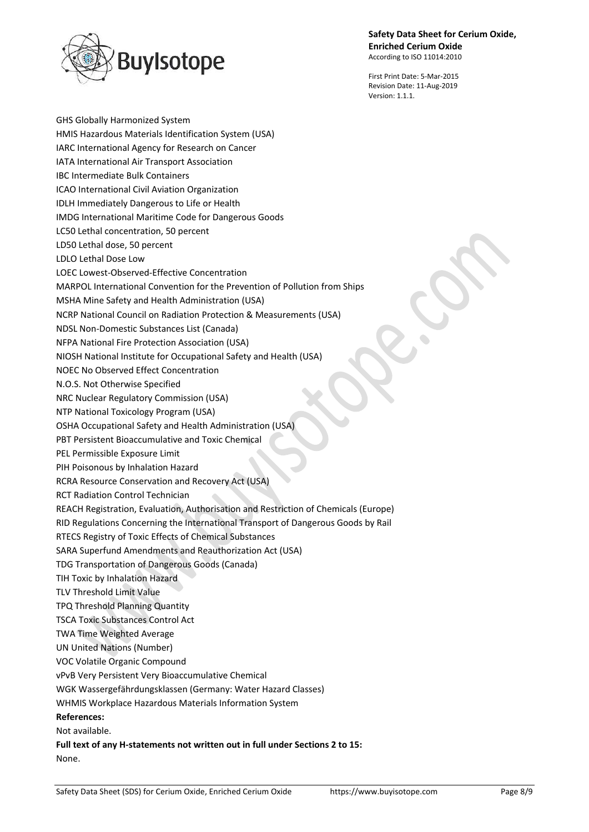# **Safety Data Sheet for Cerium Oxide, Enriched Cerium Oxide**

According to ISO 11014:2010



First Print Date: 5-Mar-2015 Revision Date: 11-Aug-2019 Version: 1.1.1.

GHS Globally Harmonized System HMIS Hazardous Materials Identification System (USA) IARC International Agency for Research on Cancer IATA International Air Transport Association IBC Intermediate Bulk Containers ICAO International Civil Aviation Organization IDLH Immediately Dangerous to Life or Health IMDG International Maritime Code for Dangerous Goods LC50 Lethal concentration, 50 percent LD50 Lethal dose, 50 percent LDLO Lethal Dose Low LOEC Lowest-Observed-Effective Concentration MARPOL International Convention for the Prevention of Pollution from Ships MSHA Mine Safety and Health Administration (USA) NCRP National Council on Radiation Protection & Measurements (USA) NDSL Non-Domestic Substances List (Canada) NFPA National Fire Protection Association (USA) NIOSH National Institute for Occupational Safety and Health (USA) NOEC No Observed Effect Concentration N.O.S. Not Otherwise Specified NRC Nuclear Regulatory Commission (USA) NTP National Toxicology Program (USA) OSHA Occupational Safety and Health Administration (USA) PBT Persistent Bioaccumulative and Toxic Chemical PEL Permissible Exposure Limit PIH Poisonous by Inhalation Hazard RCRA Resource Conservation and Recovery Act (USA) RCT Radiation Control Technician REACH Registration, Evaluation, Authorisation and Restriction of Chemicals (Europe) RID Regulations Concerning the International Transport of Dangerous Goods by Rail RTECS Registry of Toxic Effects of Chemical Substances SARA Superfund Amendments and Reauthorization Act (USA) TDG Transportation of Dangerous Goods (Canada) TIH Toxic by Inhalation Hazard TLV Threshold Limit Value TPQ Threshold Planning Quantity TSCA Toxic Substances Control Act TWA Time Weighted Average UN United Nations (Number) VOC Volatile Organic Compound vPvB Very Persistent Very Bioaccumulative Chemical WGK Wassergefährdungsklassen (Germany: Water Hazard Classes) WHMIS Workplace Hazardous Materials Information System **References:** Not available. **Full text of any H-statements not written out in full under Sections 2 to 15:**

None.